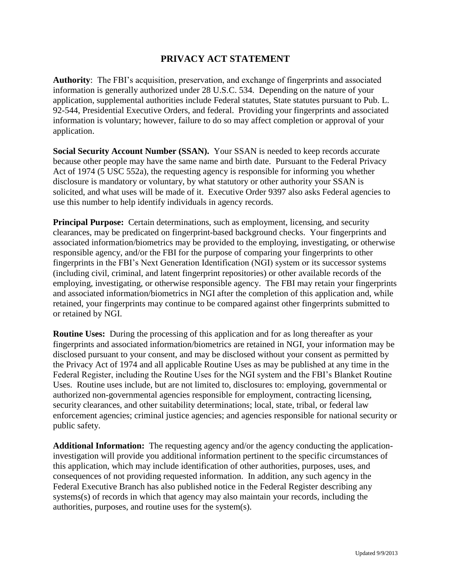## **PRIVACY ACT STATEMENT**

**Authority**: The FBI's acquisition, preservation, and exchange of fingerprints and associated information is generally authorized under 28 U.S.C. 534. Depending on the nature of your application, supplemental authorities include Federal statutes, State statutes pursuant to Pub. L. 92-544, Presidential Executive Orders, and federal. Providing your fingerprints and associated information is voluntary; however, failure to do so may affect completion or approval of your application.

**Social Security Account Number (SSAN).** Your SSAN is needed to keep records accurate because other people may have the same name and birth date. Pursuant to the Federal Privacy Act of 1974 (5 USC 552a), the requesting agency is responsible for informing you whether disclosure is mandatory or voluntary, by what statutory or other authority your SSAN is solicited, and what uses will be made of it. Executive Order 9397 also asks Federal agencies to use this number to help identify individuals in agency records.

**Principal Purpose:** Certain determinations, such as employment, licensing, and security clearances, may be predicated on fingerprint-based background checks. Your fingerprints and associated information/biometrics may be provided to the employing, investigating, or otherwise responsible agency, and/or the FBI for the purpose of comparing your fingerprints to other fingerprints in the FBI's Next Generation Identification (NGI) system or its successor systems (including civil, criminal, and latent fingerprint repositories) or other available records of the employing, investigating, or otherwise responsible agency. The FBI may retain your fingerprints and associated information/biometrics in NGI after the completion of this application and, while retained, your fingerprints may continue to be compared against other fingerprints submitted to or retained by NGI.

**Routine Uses:** During the processing of this application and for as long thereafter as your fingerprints and associated information/biometrics are retained in NGI, your information may be disclosed pursuant to your consent, and may be disclosed without your consent as permitted by the Privacy Act of 1974 and all applicable Routine Uses as may be published at any time in the Federal Register, including the Routine Uses for the NGI system and the FBI's Blanket Routine Uses. Routine uses include, but are not limited to, disclosures to: employing, governmental or authorized non-governmental agencies responsible for employment, contracting licensing, security clearances, and other suitability determinations; local, state, tribal, or federal law enforcement agencies; criminal justice agencies; and agencies responsible for national security or public safety.

**Additional Information:** The requesting agency and/or the agency conducting the applicationinvestigation will provide you additional information pertinent to the specific circumstances of this application, which may include identification of other authorities, purposes, uses, and consequences of not providing requested information. In addition, any such agency in the Federal Executive Branch has also published notice in the Federal Register describing any systems(s) of records in which that agency may also maintain your records, including the authorities, purposes, and routine uses for the system(s).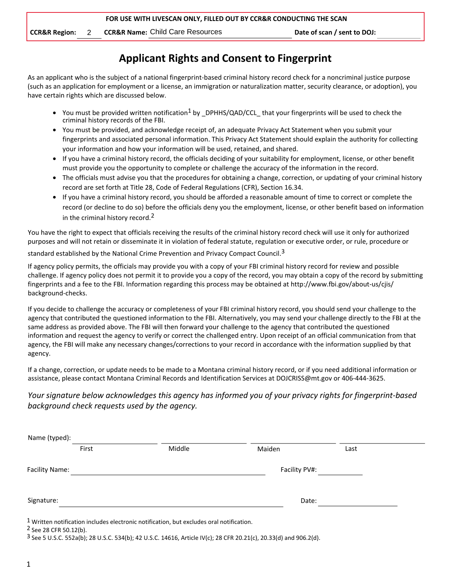**CCR&R Region:** 2 **CCR&R Name:** Child Care Resources **Date of scan / sent to DOJ:** 

## **Applicant Rights and Consent to Fingerprint**

As an applicant who is the subject of a national fingerprint-based criminal history record check for a noncriminal justice purpose (such as an application for employment or a license, an immigration or naturalization matter, security clearance, or adoption), you have certain rights which are discussed below.

- You must be provided written notification<sup>1</sup> by DPHHS/QAD/CCL that your fingerprints will be used to check the criminal history records of the FBI.
- You must be provided, and acknowledge receipt of, an adequate Privacy Act Statement when you submit your fingerprints and associated personal information. This Privacy Act Statement should explain the authority for collecting your information and how your information will be used, retained, and shared.
- If you have a criminal history record, the officials deciding of your suitability for employment, license, or other benefit must provide you the opportunity to complete or challenge the accuracy of the information in the record.
- The officials must advise you that the procedures for obtaining a change, correction, or updating of your criminal history record are set forth at Title 28, Code of Federal Regulations (CFR), Section 16.34.
- If you have a criminal history record, you should be afforded a reasonable amount of time to correct or complete the record (or decline to do so) before the officials deny you the employment, license, or other benefit based on information in the criminal history record.<sup>2</sup>

You have the right to expect that officials receiving the results of the criminal history record check will use it only for authorized purposes and will not retain or disseminate it in violation of federal statute, regulation or executive order, or rule, procedure or

standard established by the National Crime Prevention and Privacy Compact Council.<sup>3</sup>

If agency policy permits, the officials may provide you with a copy of your FBI criminal history record for review and possible challenge. If agency policy does not permit it to provide you a copy of the record, you may obtain a copy of the record by submitting fingerprints and a fee to the FBI. Information regarding this process may be obtained at http://www.fbi.gov/about-us/cjis/ background-checks.

If you decide to challenge the accuracy or completeness of your FBI criminal history record, you should send your challenge to the agency that contributed the questioned information to the FBI. Alternatively, you may send your challenge directly to the FBI at the same address as provided above. The FBI will then forward your challenge to the agency that contributed the questioned information and request the agency to verify or correct the challenged entry. Upon receipt of an official communication from that agency, the FBI will make any necessary changes/corrections to your record in accordance with the information supplied by that agency.

If a change, correction, or update needs to be made to a Montana criminal history record, or if you need additional information or assistance, please contact Montana Criminal Records and Identification Services at DOJCRISS@mt.gov or 406-444-3625.

## *Your signature below acknowledges this agency has informed you of your privacy rights for fingerprint-based background check requests used by the agency.*

| Maiden        | Last |
|---------------|------|
| Facility PV#: |      |
| Date:         |      |
|               |      |

2 See 28 CFR 50.12(b).

3 See 5 U.S.C. 552a(b); 28 U.S.C. 534(b); 42 U.S.C. 14616, Article IV(c); 28 CFR 20.21(c), 20.33(d) and 906.2(d).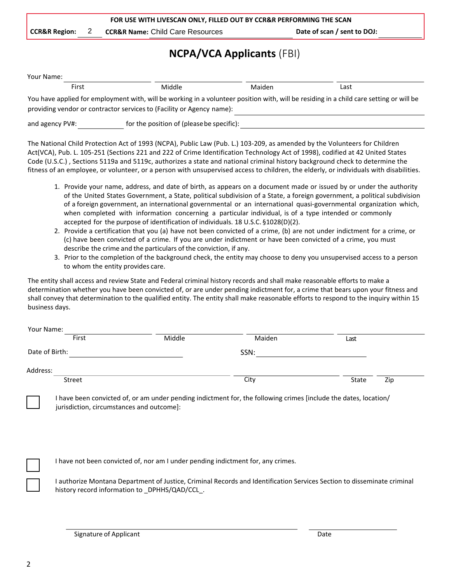|                          | FOR USE WITH LIVESCAN ONLY, FILLED OUT BY CCR&R PERFORMING THE SCAN |                                             |                             |
|--------------------------|---------------------------------------------------------------------|---------------------------------------------|-----------------------------|
| <b>CCR&amp;R Region:</b> |                                                                     | <b>CCR&amp;R Name: Child Care Resources</b> | Date of scan / sent to DOJ: |

## **NCPA/VCA Applicants** (FBI)

| Your Name:      |       |                                                                                                                           |        |                                                                                                                                         |
|-----------------|-------|---------------------------------------------------------------------------------------------------------------------------|--------|-----------------------------------------------------------------------------------------------------------------------------------------|
|                 | First | Middle                                                                                                                    | Maiden | Last                                                                                                                                    |
|                 |       | providing vendor or contractor services to (Facility or Agency name):                                                     |        | You have applied for employment with, will be working in a volunteer position with, will be residing in a child care setting or will be |
| and agency PV#: |       | for the position of (please be specific):                                                                                 |        |                                                                                                                                         |
|                 |       | The National Child Protection Act of 1993 (NCPA), Public Law (Pub, L.) 103-209, as amonded by the Volunteers for Children |        |                                                                                                                                         |

The National Child Protection Act of 1993 (NCPA), Public Law (Pub. L.) 103-209, as amended by the Volunteers for Children Act(VCA), Pub. L. 105-251 (Sections 221 and 222 of Crime Identification Technology Act of 1998), codified at 42 United States Code (U.S.C.) , Sections 5119a and 5119c, authorizes a state and national criminal history background check to determine the fitness of an employee, or volunteer, or a person with unsupervised access to children, the elderly, or individuals with disabilities.

- 1. Provide your name, address, and date of birth, as appears on a document made or issued by or under the authority of the United States Government, a State, political subdivision of a State, a foreign government, a political subdivision of a foreign government, an international governmental or an international quasi-governmental organization which, when completed with information concerning a particular individual, is of a type intended or commonly accepted for the purpose of identification of individuals. 18 U.S.C. §1028(D)(2).
- 2. Provide a certification that you (a) have not been convicted of a crime, (b) are not under indictment for a crime, or (c) have been convicted of a crime. If you are under indictment or have been convicted of a crime, you must describe the crime and the particulars of the conviction, if any.
- 3. Prior to the completion of the background check, the entity may choose to deny you unsupervised access to a person to whom the entity provides care.

The entity shall access and review State and Federal criminal history records and shall make reasonable efforts to make a determination whether you have been convicted of, or are under pending indictment for, a crime that bears upon your fitness and shall convey that determination to the qualified entity. The entity shall make reasonable efforts to respond to the inquiry within 15 business days.

| Your Name:     |        |        |        |       |     |
|----------------|--------|--------|--------|-------|-----|
|                | First  | Middle | Maiden | Last  |     |
| Date of Birth: |        |        | SSN:   |       |     |
| Address:       |        |        |        |       |     |
|                | Street |        | City   | State | Zip |
|                |        |        |        |       |     |

I have been convicted of, or am under pending indictment for, the following crimes [include the dates, location/ jurisdiction, circumstances and outcome]:

I have not been convicted of, nor am I under pending indictment for, any crimes.

I authorize Montana Department of Justice, Criminal Records and Identification Services Section to disseminate criminal history record information to \_DPHHS/QAD/CCL\_.